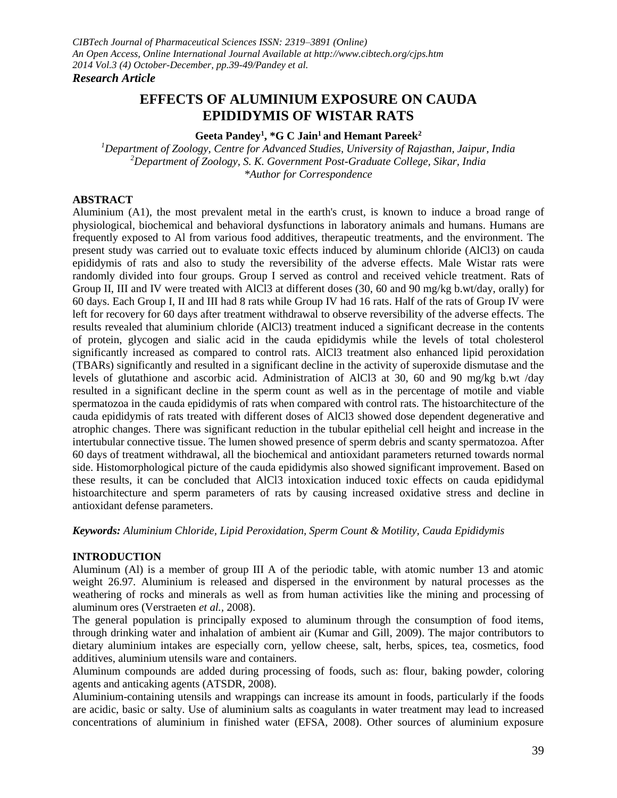# **EFFECTS OF ALUMINIUM EXPOSURE ON CAUDA EPIDIDYMIS OF WISTAR RATS**

**Geeta Pandey<sup>1</sup> , \*G C Jain<sup>1</sup>and Hemant Pareek<sup>2</sup>**

*<sup>1</sup>Department of Zoology, Centre for Advanced Studies, University of Rajasthan, Jaipur, India <sup>2</sup>Department of Zoology, S. K. Government Post-Graduate College, Sikar, India \*Author for Correspondence*

# **ABSTRACT**

Aluminium (A1), the most prevalent metal in the earth's crust, is known to induce a broad range of physiological, biochemical and behavioral dysfunctions in laboratory animals and humans. Humans are frequently exposed to Al from various food additives, therapeutic treatments, and the environment. The present study was carried out to evaluate toxic effects induced by aluminum chloride (AlCl3) on cauda epididymis of rats and also to study the reversibility of the adverse effects. Male Wistar rats were randomly divided into four groups. Group I served as control and received vehicle treatment. Rats of Group II, III and IV were treated with AlCl3 at different doses (30, 60 and 90 mg/kg b.wt/day, orally) for 60 days. Each Group I, II and III had 8 rats while Group IV had 16 rats. Half of the rats of Group IV were left for recovery for 60 days after treatment withdrawal to observe reversibility of the adverse effects. The results revealed that aluminium chloride (AlCl3) treatment induced a significant decrease in the contents of protein, glycogen and sialic acid in the cauda epididymis while the levels of total cholesterol significantly increased as compared to control rats. AlCl3 treatment also enhanced lipid peroxidation (TBARs) significantly and resulted in a significant decline in the activity of superoxide dismutase and the levels of glutathione and ascorbic acid. Administration of AlCl3 at 30, 60 and 90 mg/kg b.wt /day resulted in a significant decline in the sperm count as well as in the percentage of motile and viable spermatozoa in the cauda epididymis of rats when compared with control rats. The histoarchitecture of the cauda epididymis of rats treated with different doses of AlCl3 showed dose dependent degenerative and atrophic changes. There was significant reduction in the tubular epithelial cell height and increase in the intertubular connective tissue. The lumen showed presence of sperm debris and scanty spermatozoa. After 60 days of treatment withdrawal, all the biochemical and antioxidant parameters returned towards normal side. Histomorphological picture of the cauda epididymis also showed significant improvement. Based on these results, it can be concluded that AlCl3 intoxication induced toxic effects on cauda epididymal histoarchitecture and sperm parameters of rats by causing increased oxidative stress and decline in antioxidant defense parameters.

*Keywords: Aluminium Chloride, Lipid Peroxidation, Sperm Count & Motility, Cauda Epididymis*

### **INTRODUCTION**

Aluminum (Al) is a member of group III A of the periodic table, with atomic number 13 and atomic weight 26.97. Aluminium is released and dispersed in the environment by natural processes as the weathering of rocks and minerals as well as from human activities like the mining and processing of aluminum ores (Verstraeten *et al.,* 2008).

The general population is principally exposed to aluminum through the consumption of food items, through drinking water and inhalation of ambient air (Kumar and Gill, 2009). The major contributors to dietary aluminium intakes are especially corn, yellow cheese, salt, herbs, spices, tea, cosmetics, food additives, aluminium utensils ware and containers.

Aluminum compounds are added during processing of foods, such as: flour, baking powder, coloring agents and anticaking agents (ATSDR, 2008).

Aluminium-containing utensils and wrappings can increase its amount in foods, particularly if the foods are acidic, basic or salty. Use of aluminium salts as coagulants in water treatment may lead to increased concentrations of aluminium in finished water (EFSA, 2008). Other sources of aluminium exposure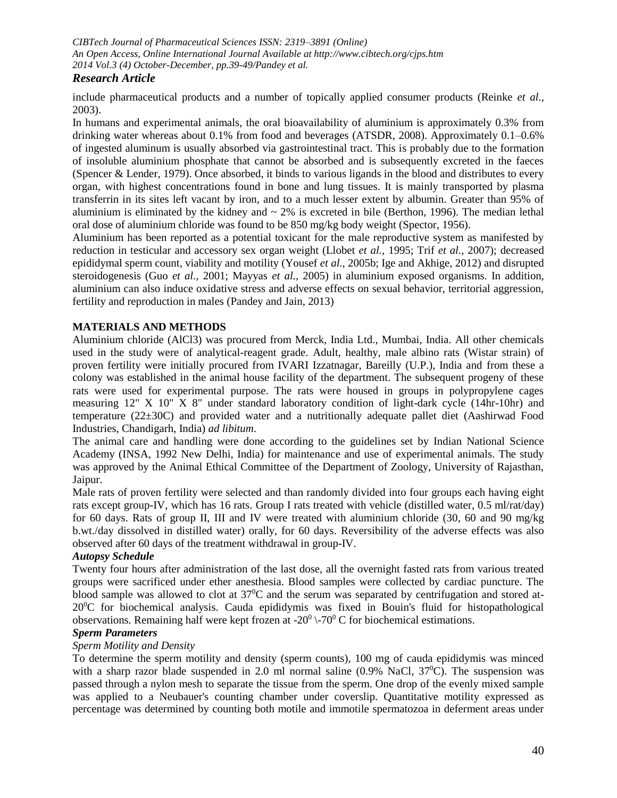# *Research Article*

include pharmaceutical products and a number of topically applied consumer products (Reinke *et al.,* 2003).

In humans and experimental animals, the oral bioavailability of aluminium is approximately 0.3% from drinking water whereas about 0.1% from food and beverages (ATSDR, 2008). Approximately 0.1–0.6% of ingested aluminum is usually absorbed via gastrointestinal tract. This is probably due to the formation of insoluble aluminium phosphate that cannot be absorbed and is subsequently excreted in the faeces (Spencer & Lender, 1979). Once absorbed, it binds to various ligands in the blood and distributes to every organ, with highest concentrations found in bone and lung tissues. It is mainly transported by plasma transferrin in its sites left vacant by iron, and to a much lesser extent by albumin. Greater than 95% of aluminium is eliminated by the kidney and  $\sim$  2% is excreted in bile (Berthon, 1996). The median lethal oral dose of aluminium chloride was found to be 850 mg/kg body weight (Spector, 1956).

Aluminium has been reported as a potential toxicant for the male reproductive system as manifested by reduction in testicular and accessory sex organ weight (Llobet *et al.,* 1995; Trif *et al.,* 2007); decreased epididymal sperm count, viability and motility (Yousef *et al.,* 2005b; Ige and Akhige, 2012) and disrupted steroidogenesis (Guo *et al.,* 2001; Mayyas *et al.,* 2005) in aluminium exposed organisms. In addition, aluminium can also induce oxidative stress and adverse effects on sexual behavior, territorial aggression, fertility and reproduction in males (Pandey and Jain, 2013)

# **MATERIALS AND METHODS**

Aluminium chloride (AlCl3) was procured from Merck, India Ltd., Mumbai, India. All other chemicals used in the study were of analytical-reagent grade. Adult, healthy, male albino rats (Wistar strain) of proven fertility were initially procured from IVARI Izzatnagar, Bareilly (U.P.), India and from these a colony was established in the animal house facility of the department. The subsequent progeny of these rats were used for experimental purpose. The rats were housed in groups in polypropylene cages measuring 12" X 10" X 8" under standard laboratory condition of light-dark cycle (14hr-10hr) and temperature (22±30C) and provided water and a nutritionally adequate pallet diet (Aashirwad Food Industries, Chandigarh, India) *ad libitum*.

The animal care and handling were done according to the guidelines set by Indian National Science Academy (INSA, 1992 New Delhi, India) for maintenance and use of experimental animals. The study was approved by the Animal Ethical Committee of the Department of Zoology, University of Rajasthan, Jaipur.

Male rats of proven fertility were selected and than randomly divided into four groups each having eight rats except group-IV, which has 16 rats. Group I rats treated with vehicle (distilled water, 0.5 ml/rat/day) for 60 days. Rats of group II, III and IV were treated with aluminium chloride (30, 60 and 90 mg/kg b.wt./day dissolved in distilled water) orally, for 60 days. Reversibility of the adverse effects was also observed after 60 days of the treatment withdrawal in group-IV.

### *Autopsy Schedule*

Twenty four hours after administration of the last dose, all the overnight fasted rats from various treated groups were sacrificed under ether anesthesia. Blood samples were collected by cardiac puncture. The blood sample was allowed to clot at  $37^{\circ}$ C and the serum was separated by centrifugation and stored at- $20^{\circ}$ C for biochemical analysis. Cauda epididymis was fixed in Bouin's fluid for histopathological observations. Remaining half were kept frozen at -20<sup>0</sup> \-70<sup>0</sup> C for biochemical estimations.

# *Sperm Parameters*

#### *Sperm Motility and Density*

To determine the sperm motility and density (sperm counts), 100 mg of cauda epididymis was minced with a sharp razor blade suspended in 2.0 ml normal saline  $(0.9\%$  NaCl,  $37^{\circ}$ C). The suspension was passed through a nylon mesh to separate the tissue from the sperm. One drop of the evenly mixed sample was applied to a Neubauer's counting chamber under coverslip. Quantitative motility expressed as percentage was determined by counting both motile and immotile spermatozoa in deferment areas under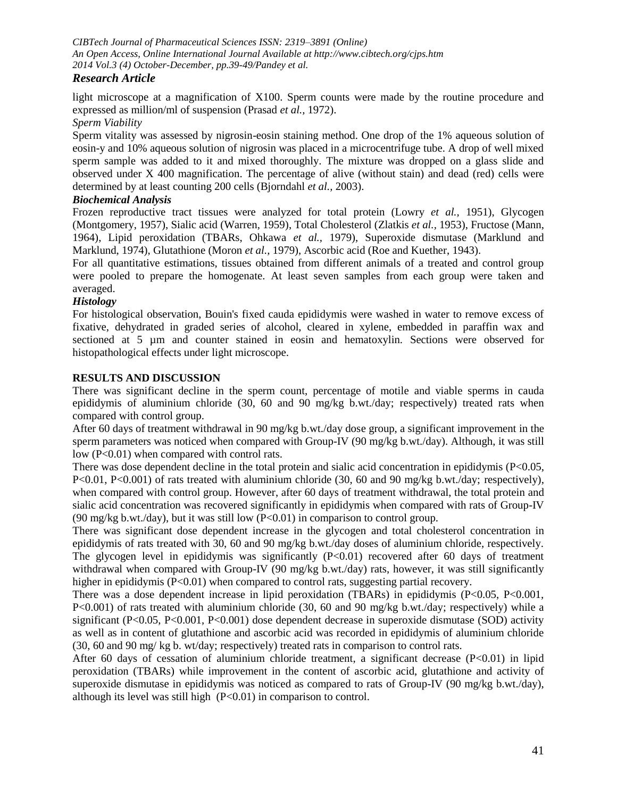# *Research Article*

light microscope at a magnification of X100. Sperm counts were made by the routine procedure and expressed as million/ml of suspension (Prasad *et al.,* 1972).

*Sperm Viability*

Sperm vitality was assessed by nigrosin-eosin staining method. One drop of the 1% aqueous solution of eosin-y and 10% aqueous solution of nigrosin was placed in a microcentrifuge tube. A drop of well mixed sperm sample was added to it and mixed thoroughly. The mixture was dropped on a glass slide and observed under X 400 magnification. The percentage of alive (without stain) and dead (red) cells were determined by at least counting 200 cells (Bjorndahl *et al.,* 2003).

## *Biochemical Analysis*

Frozen reproductive tract tissues were analyzed for total protein (Lowry *et al.,* 1951), Glycogen (Montgomery, 1957), Sialic acid (Warren, 1959), Total Cholesterol (Zlatkis *et al.,* 1953), Fructose (Mann, 1964), Lipid peroxidation (TBARs, Ohkawa *et al.,* 1979), Superoxide dismutase (Marklund and Marklund, 1974), Glutathione (Moron *et al.,* 1979), Ascorbic acid (Roe and Kuether, 1943).

For all quantitative estimations, tissues obtained from different animals of a treated and control group were pooled to prepare the homogenate. At least seven samples from each group were taken and averaged.

# *Histology*

For histological observation, Bouin's fixed cauda epididymis were washed in water to remove excess of fixative, dehydrated in graded series of alcohol, cleared in xylene, embedded in paraffin wax and sectioned at 5 µm and counter stained in eosin and hematoxylin. Sections were observed for histopathological effects under light microscope.

# **RESULTS AND DISCUSSION**

There was significant decline in the sperm count, percentage of motile and viable sperms in cauda epididymis of aluminium chloride (30, 60 and 90 mg/kg b.wt./day; respectively) treated rats when compared with control group.

After 60 days of treatment withdrawal in 90 mg/kg b.wt./day dose group, a significant improvement in the sperm parameters was noticed when compared with Group-IV (90 mg/kg b.wt./day). Although, it was still low (P<0.01) when compared with control rats.

There was dose dependent decline in the total protein and sialic acid concentration in epididymis (P<0.05, P<0.01, P<0.001) of rats treated with aluminium chloride (30, 60 and 90 mg/kg b.wt./day; respectively), when compared with control group. However, after 60 days of treatment withdrawal, the total protein and sialic acid concentration was recovered significantly in epididymis when compared with rats of Group-IV (90 mg/kg b.wt./day), but it was still low  $(P<0.01)$  in comparison to control group.

There was significant dose dependent increase in the glycogen and total cholesterol concentration in epididymis of rats treated with 30, 60 and 90 mg/kg b.wt./day doses of aluminium chloride, respectively. The glycogen level in epididymis was significantly  $(P<0.01)$  recovered after 60 days of treatment withdrawal when compared with Group-IV (90 mg/kg b.wt./day) rats, however, it was still significantly higher in epididymis (P<0.01) when compared to control rats, suggesting partial recovery.

There was a dose dependent increase in lipid peroxidation (TBARs) in epididymis (P<0.05, P<0.001, P<0.001) of rats treated with aluminium chloride (30, 60 and 90 mg/kg b.wt./day; respectively) while a significant (P<0.05, P<0.001, P<0.001) dose dependent decrease in superoxide dismutase (SOD) activity as well as in content of glutathione and ascorbic acid was recorded in epididymis of aluminium chloride (30, 60 and 90 mg/ kg b. wt/day; respectively) treated rats in comparison to control rats.

After 60 days of cessation of aluminium chloride treatment, a significant decrease  $(P<0.01)$  in lipid peroxidation (TBARs) while improvement in the content of ascorbic acid, glutathione and activity of superoxide dismutase in epididymis was noticed as compared to rats of Group-IV (90 mg/kg b.wt./day), although its level was still high  $(P<0.01)$  in comparison to control.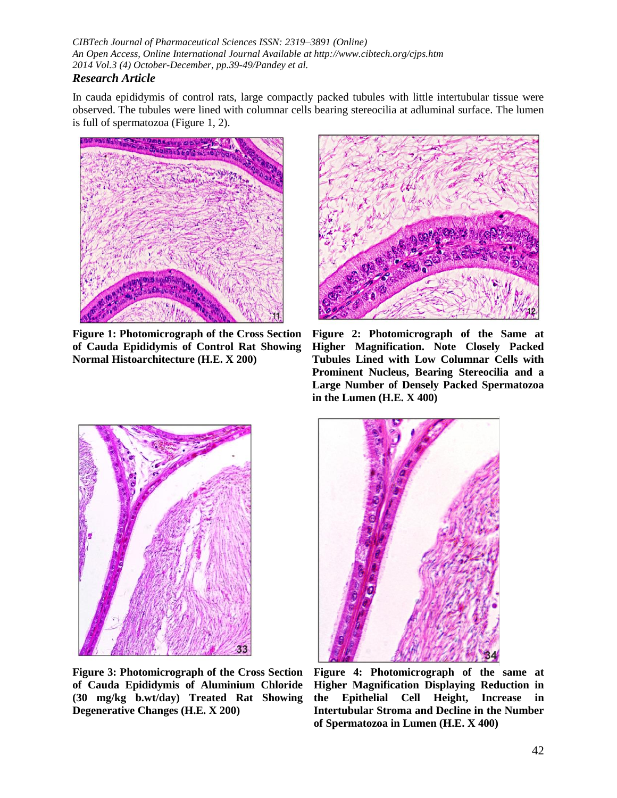# *Research Article*

In cauda epididymis of control rats, large compactly packed tubules with little intertubular tissue were observed. The tubules were lined with columnar cells bearing stereocilia at adluminal surface. The lumen is full of spermatozoa (Figure 1, 2).



**Figure 1: Photomicrograph of the Cross Section of Cauda Epididymis of Control Rat Showing Normal Histoarchitecture (H.E. X 200)**



**Figure 2: Photomicrograph of the Same at Higher Magnification. Note Closely Packed Tubules Lined with Low Columnar Cells with Prominent Nucleus, Bearing Stereocilia and a Large Number of Densely Packed Spermatozoa in the Lumen (H.E. X 400)**



**Figure 3: Photomicrograph of the Cross Section of Cauda Epididymis of Aluminium Chloride (30 mg/kg b.wt/day) Treated Rat Showing Degenerative Changes (H.E. X 200)**



**Figure 4: Photomicrograph of the same at Higher Magnification Displaying Reduction in the Epithelial Cell Height, Increase in Intertubular Stroma and Decline in the Number of Spermatozoa in Lumen (H.E. X 400)**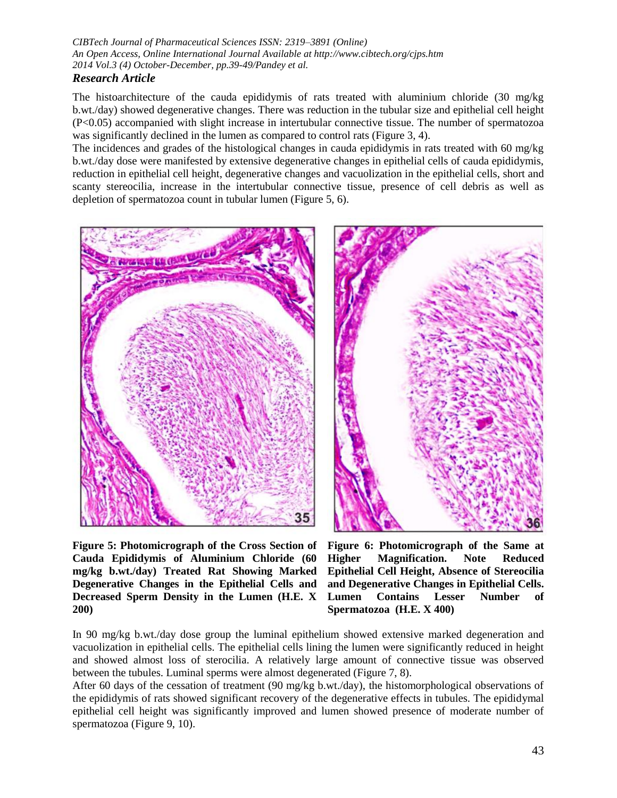# The histoarchitecture of the cauda epididymis of rats treated with aluminium chloride (30 mg/kg b.wt./day) showed degenerative changes. There was reduction in the tubular size and epithelial cell height (P<0.05) accompanied with slight increase in intertubular connective tissue. The number of spermatozoa was significantly declined in the lumen as compared to control rats (Figure 3, 4).

The incidences and grades of the histological changes in cauda epididymis in rats treated with 60 mg/kg b.wt./day dose were manifested by extensive degenerative changes in epithelial cells of cauda epididymis, reduction in epithelial cell height, degenerative changes and vacuolization in the epithelial cells, short and scanty stereocilia, increase in the intertubular connective tissue, presence of cell debris as well as depletion of spermatozoa count in tubular lumen (Figure 5, 6).





**Figure 5: Photomicrograph of the Cross Section of Cauda Epididymis of Aluminium Chloride (60 mg/kg b.wt./day) Treated Rat Showing Marked Degenerative Changes in the Epithelial Cells and Decreased Sperm Density in the Lumen (H.E. X 200)**

**Figure 6: Photomicrograph of the Same at Higher Magnification. Note Reduced Epithelial Cell Height, Absence of Stereocilia and Degenerative Changes in Epithelial Cells. Lumen Contains Lesser Number of Spermatozoa (H.E. X 400)**

In 90 mg/kg b.wt./day dose group the luminal epithelium showed extensive marked degeneration and vacuolization in epithelial cells. The epithelial cells lining the lumen were significantly reduced in height and showed almost loss of sterocilia. A relatively large amount of connective tissue was observed between the tubules. Luminal sperms were almost degenerated (Figure 7, 8).

After 60 days of the cessation of treatment (90 mg/kg b.wt./day), the histomorphological observations of the epididymis of rats showed significant recovery of the degenerative effects in tubules. The epididymal epithelial cell height was significantly improved and lumen showed presence of moderate number of spermatozoa (Figure 9, 10).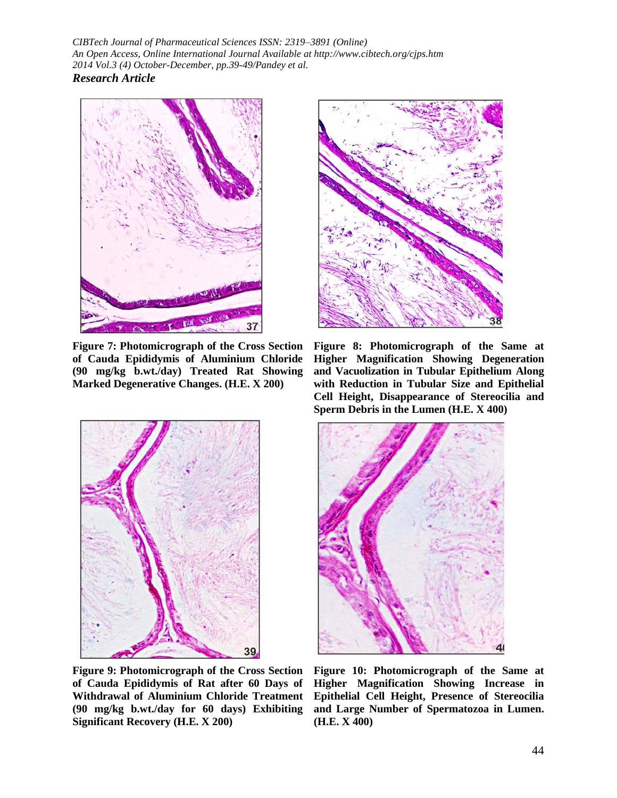

**Figure 7: Photomicrograph of the Cross Section of Cauda Epididymis of Aluminium Chloride (90 mg/kg b.wt./day) Treated Rat Showing Marked Degenerative Changes. (H.E. X 200)**



**Figure 9: Photomicrograph of the Cross Section of Cauda Epididymis of Rat after 60 Days of Withdrawal of Aluminium Chloride Treatment (90 mg/kg b.wt./day for 60 days) Exhibiting Significant Recovery (H.E. X 200)**



**Figure 8: Photomicrograph of the Same at Higher Magnification Showing Degeneration and Vacuolization in Tubular Epithelium Along with Reduction in Tubular Size and Epithelial Cell Height, Disappearance of Stereocilia and Sperm Debris in the Lumen (H.E. X 400)**



**Figure 10: Photomicrograph of the Same at Higher Magnification Showing Increase in Epithelial Cell Height, Presence of Stereocilia and Large Number of Spermatozoa in Lumen. (H.E. X 400)**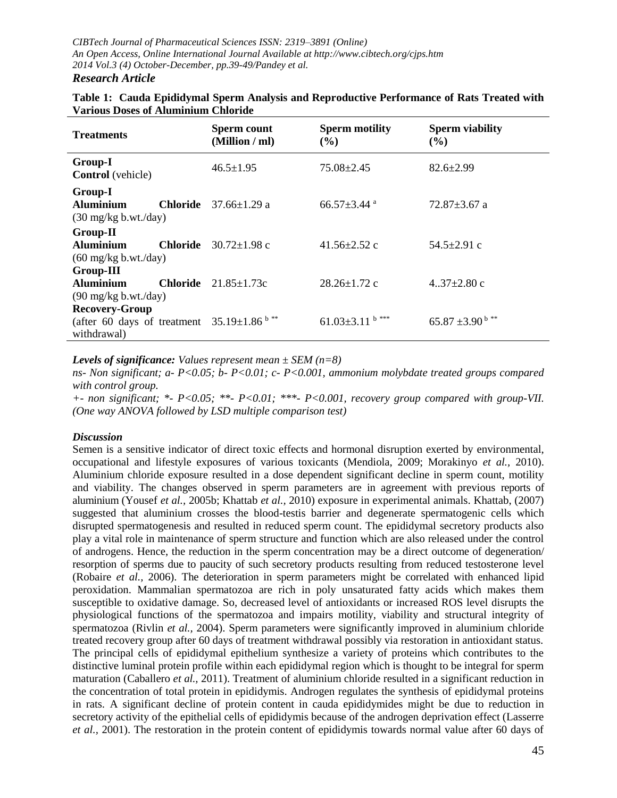| <b>Treatments</b>                                                                                   |                 | <b>Sperm count</b><br>(Million / ml) | <b>Sperm motility</b><br>$($ %) | <b>Sperm viability</b><br>$($ %) |
|-----------------------------------------------------------------------------------------------------|-----------------|--------------------------------------|---------------------------------|----------------------------------|
| Group-I<br><b>Control</b> (vehicle)                                                                 |                 | $46.5 \pm 1.95$                      | $75.08 \pm 2.45$                | $82.6 \pm 2.99$                  |
| Group-I<br><b>Aluminium</b><br>$(30 \text{ mg/kg b.wt./day})$                                       | <b>Chloride</b> | $37.66 \pm 1.29$ a                   | $66.57 \pm 3.44$ <sup>a</sup>   | $72.87 \pm 3.67$ a               |
| <b>Group-II</b><br><b>Aluminium</b><br>$(60 \text{ mg/kg b.wt./day})$                               | Chloride        | $30.72 \pm 1.98$ c                   | $41.56 \pm 2.52$ c              | $54.5 \pm 2.91$ c                |
| <b>Group-III</b><br><b>Aluminium</b><br>$(90 \text{ mg/kg b.wt./day})$                              | Chloride        | $21.85 \pm 1.73c$                    | $28.26 \pm 1.72$ c              | $4.37 \pm 2.80$ c                |
| <b>Recovery-Group</b><br>(after 60 days of treatment $35.19 \pm 1.86$ <sup>b**</sup><br>withdrawal) |                 |                                      | $b***$<br>$61.03 \pm 3.11$      | $65.87 \pm 3.90^{\mathrm{b}}$ ** |

### **Table 1: Cauda Epididymal Sperm Analysis and Reproductive Performance of Rats Treated with Various Doses of Aluminium Chloride**

### *Levels of significance: Values represent mean ± SEM (n=8)*

*ns- Non significant; a- P<0.05; b- P<0.01; c- P<0.001, ammonium molybdate treated groups compared with control group.*

*+- non significant; \*- P<0.05; \*\*- P<0.01; \*\*\*- P<0.001, recovery group compared with group-VII. (One way ANOVA followed by LSD multiple comparison test)* 

### *Discussion*

Semen is a sensitive indicator of direct toxic effects and hormonal disruption exerted by environmental, occupational and lifestyle exposures of various toxicants (Mendiola, 2009; Morakinyo *et al.,* 2010). Aluminium chloride exposure resulted in a dose dependent significant decline in sperm count, motility and viability. The changes observed in sperm parameters are in agreement with previous reports of aluminium (Yousef *et al.,* 2005b; Khattab *et al.,* 2010) exposure in experimental animals. Khattab, (2007) suggested that aluminium crosses the blood-testis barrier and degenerate spermatogenic cells which disrupted spermatogenesis and resulted in reduced sperm count. The epididymal secretory products also play a vital role in maintenance of sperm structure and function which are also released under the control of androgens. Hence, the reduction in the sperm concentration may be a direct outcome of degeneration/ resorption of sperms due to paucity of such secretory products resulting from reduced testosterone level (Robaire *et al.,* 2006). The deterioration in sperm parameters might be correlated with enhanced lipid peroxidation. Mammalian spermatozoa are rich in poly unsaturated fatty acids which makes them susceptible to oxidative damage. So, decreased level of antioxidants or increased ROS level disrupts the physiological functions of the spermatozoa and impairs motility, viability and structural integrity of spermatozoa (Rivlin *et al.,* 2004). Sperm parameters were significantly improved in aluminium chloride treated recovery group after 60 days of treatment withdrawal possibly via restoration in antioxidant status. The principal cells of epididymal epithelium synthesize a variety of proteins which contributes to the distinctive luminal protein profile within each epididymal region which is thought to be integral for sperm maturation (Caballero *et al.,* 2011). Treatment of aluminium chloride resulted in a significant reduction in the concentration of total protein in epididymis. Androgen regulates the synthesis of epididymal proteins in rats. A significant decline of protein content in cauda epididymides might be due to reduction in secretory activity of the epithelial cells of epididymis because of the androgen deprivation effect (Lasserre *et al.,* 2001). The restoration in the protein content of epididymis towards normal value after 60 days of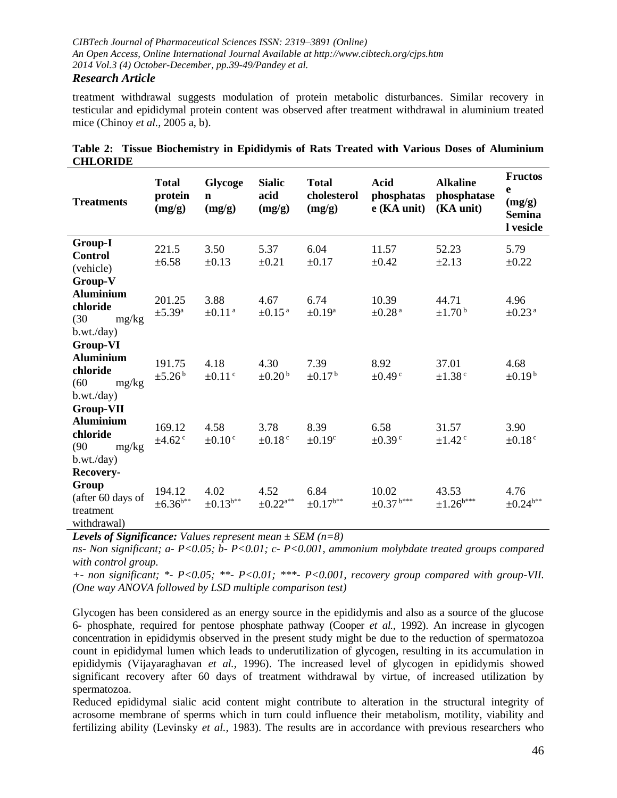# *Research Article*

treatment withdrawal suggests modulation of protein metabolic disturbances. Similar recovery in testicular and epididymal protein content was observed after treatment withdrawal in aluminium treated mice (Chinoy *et al.,* 2005 a, b).

| <b>Treatments</b>                                                               | <b>Total</b><br>protein<br>(mg/g) | Glycoge<br>$\mathbf n$<br>(mg/g) | <b>Sialic</b><br>acid<br>(mg/g)   | <b>Total</b><br>cholesterol<br>(mg/g) | <b>Acid</b><br>phosphatas<br>$e$ (KA unit) | <b>Alkaline</b><br>phosphatase<br>(KA unit) | <b>Fructos</b><br>e<br>(mg/g)<br><b>Semina</b><br>l vesicle |
|---------------------------------------------------------------------------------|-----------------------------------|----------------------------------|-----------------------------------|---------------------------------------|--------------------------------------------|---------------------------------------------|-------------------------------------------------------------|
| <b>Group-I</b><br><b>Control</b><br>(vehicle)                                   | 221.5<br>$\pm 6.58$               | 3.50<br>$\pm 0.13$               | 5.37<br>±0.21                     | 6.04<br>$\pm 0.17$                    | 11.57<br>$\pm 0.42$                        | 52.23<br>$\pm 2.13$                         | 5.79<br>$\pm 0.22$                                          |
| Group-V<br><b>Aluminium</b><br>chloride<br>(30)<br>mg/kg<br>b.wt./day)          | 201.25<br>$\pm$ 5.39 <sup>a</sup> | 3.88<br>$\pm 0.11$ <sup>a</sup>  | 4.67<br>$\pm 0.15^{\text{ a}}$    | 6.74<br>$\pm 0.19^a$                  | 10.39<br>$\pm 0.28$ <sup>a</sup>           | 44.71<br>$\pm$ 1.70 <sup>b</sup>            | 4.96<br>$\pm 0.23$ <sup>a</sup>                             |
| Group-VI<br><b>Aluminium</b><br>chloride<br>(60)<br>mg/kg<br>b.wt./day)         | 191.75<br>$\pm 5.26^{\mathrm{b}}$ | 4.18<br>$\pm 0.11$ <sup>c</sup>  | 4.30<br>$\pm 0.20^{\mathrm{b}}$   | 7.39<br>$\pm 0.17^{\mathrm{b}}$       | 8.92<br>$\pm 0.49$ <sup>c</sup>            | 37.01<br>$\pm$ 1.38 $\degree$               | 4.68<br>$\pm 0.19^{\mathrm{b}}$                             |
| <b>Group-VII</b><br><b>Aluminium</b><br>chloride<br>(90)<br>mg/kg<br>b.wt./day) | 169.12<br>$±4.62$ <sup>c</sup>    | 4.58<br>$\pm 0.10$ <sup>c</sup>  | 3.78<br>$\pm 0.18$ <sup>c</sup>   | 8.39<br>$\pm 0.19$ <sup>c</sup>       | 6.58<br>$\pm 0.39$ <sup>c</sup>            | 31.57<br>$\pm$ 1.42 $\degree$               | 3.90<br>$\pm 0.18$ <sup>c</sup>                             |
| Recovery-<br>Group<br>(after 60 days of<br>treatment<br>withdrawal)             | 194.12<br>$\pm 6.36^{\text{b}**}$ | 4.02<br>$\pm 0.13^{\text{b}**}$  | 4.52<br>$\pm 0.22^{\mathrm{a}**}$ | 6.84<br>$\pm 0.17^{b**}$              | 10.02<br>$\pm0.37$ $^{\mathrm{b***}}$      | 43.53<br>$\pm 1.26^{\rm b***}$              | 4.76<br>$\pm 0.24^{\rm b**}$                                |

|                 | Table 2: Tissue Biochemistry in Epididymis of Rats Treated with Various Doses of Aluminium |  |  |  |  |  |
|-----------------|--------------------------------------------------------------------------------------------|--|--|--|--|--|
| <b>CHLORIDE</b> |                                                                                            |  |  |  |  |  |

*Levels of Significance: Values represent mean ± SEM (n=8)*

*ns- Non significant; a- P<0.05; b- P<0.01; c- P<0.001, ammonium molybdate treated groups compared with control group.*

*+- non significant; \*- P<0.05; \*\*- P<0.01; \*\*\*- P<0.001, recovery group compared with group-VII. (One way ANOVA followed by LSD multiple comparison test)* 

Glycogen has been considered as an energy source in the epididymis and also as a source of the glucose 6- phosphate, required for pentose phosphate pathway (Cooper *et al.,* 1992). An increase in glycogen concentration in epididymis observed in the present study might be due to the reduction of spermatozoa count in epididymal lumen which leads to underutilization of glycogen, resulting in its accumulation in epididymis (Vijayaraghavan *et al.,* 1996). The increased level of glycogen in epididymis showed significant recovery after 60 days of treatment withdrawal by virtue, of increased utilization by spermatozoa.

Reduced epididymal sialic acid content might contribute to alteration in the structural integrity of acrosome membrane of sperms which in turn could influence their metabolism, motility, viability and fertilizing ability (Levinsky *et al.,* 1983). The results are in accordance with previous researchers who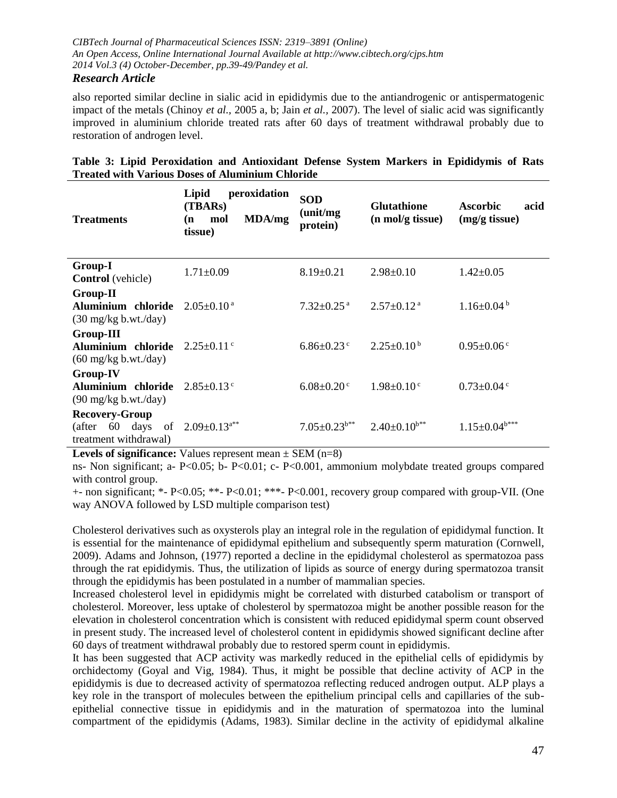## *Research Article*

also reported similar decline in sialic acid in epididymis due to the antiandrogenic or antispermatogenic impact of the metals (Chinoy *et al.,* 2005 a, b; Jain *et al.,* 2007). The level of sialic acid was significantly improved in aluminium chloride treated rats after 60 days of treatment withdrawal probably due to restoration of androgen level.

| <b>Treatments</b>                                                         | peroxidation<br>Lipid<br>(TBARs)<br>MDA/mg<br>mol<br>(n<br>tissue) | <b>SOD</b><br>(unit/mg)<br>protein) | <b>Glutathione</b><br>(n mol/g tissue) | <b>Ascorbic</b><br>acid<br>(mg/g tissue) |
|---------------------------------------------------------------------------|--------------------------------------------------------------------|-------------------------------------|----------------------------------------|------------------------------------------|
| <b>Group-I</b><br><b>Control</b> (vehicle)                                | $1.71 \pm 0.09$                                                    | $8.19 \pm 0.21$                     | $2.98 \pm 0.10$                        | $1.42 \pm 0.05$                          |
| <b>Group-II</b><br>Aluminium chloride<br>$(30 \text{ mg/kg b.wt./day})$   | $2.05 \pm 0.10^{\text{a}}$                                         | $7.32 \pm 0.25$ <sup>a</sup>        | $2.57 \pm 0.12$ <sup>a</sup>           | $1.16 \pm 0.04^b$                        |
| <b>Group-III</b><br>Aluminium chloride<br>$(60 \text{ mg/kg b.wt./day})$  | $2.25+0.11$ c                                                      | $6.86 \pm 0.23$ c                   | $2.25+0.10b$                           | $0.95 \pm 0.06$ <sup>c</sup>             |
| <b>Group-IV</b><br>Aluminium chloride<br>$(90 \text{ mg/kg b.wt./day})$   | $2.85 \pm 0.13$ c                                                  | $6.08 \pm 0.20$ c                   | $1.98 \pm 0.10^{\circ}$                | $0.73 \pm 0.04$ °                        |
| <b>Recovery-Group</b><br>60 days<br>of<br>(after<br>treatment withdrawal) | $2.09 \pm 0.13$ <sup>a**</sup>                                     | $7.05 \pm 0.23$ <sup>b**</sup>      | $2.40 \pm 0.10^{b**}$                  | $1.15 \pm 0.04$ <sup>b***</sup>          |

# **Table 3: Lipid Peroxidation and Antioxidant Defense System Markers in Epididymis of Rats Treated with Various Doses of Aluminium Chloride**

**Levels of significance:** Values represent mean  $\pm$  SEM (n=8)

ns- Non significant; a- P<0.05; b- P<0.01; c- P<0.001, ammonium molybdate treated groups compared with control group.

+- non significant; \*- P<0.05; \*\*- P<0.01; \*\*\*- P<0.001, recovery group compared with group-VII. (One way ANOVA followed by LSD multiple comparison test)

Cholesterol derivatives such as oxysterols play an integral role in the regulation of epididymal function. It is essential for the maintenance of epididymal epithelium and subsequently sperm maturation (Cornwell, 2009). Adams and Johnson, (1977) reported a decline in the epididymal cholesterol as spermatozoa pass through the rat epididymis. Thus, the utilization of lipids as source of energy during spermatozoa transit through the epididymis has been postulated in a number of mammalian species.

Increased cholesterol level in epididymis might be correlated with disturbed catabolism or transport of cholesterol. Moreover, less uptake of cholesterol by spermatozoa might be another possible reason for the elevation in cholesterol concentration which is consistent with reduced epididymal sperm count observed in present study. The increased level of cholesterol content in epididymis showed significant decline after 60 days of treatment withdrawal probably due to restored sperm count in epididymis.

It has been suggested that ACP activity was markedly reduced in the epithelial cells of epididymis by orchidectomy (Goyal and Vig, 1984). Thus, it might be possible that decline activity of ACP in the epididymis is due to decreased activity of spermatozoa reflecting reduced androgen output. ALP plays a key role in the transport of molecules between the epithelium principal cells and capillaries of the subepithelial connective tissue in epididymis and in the maturation of spermatozoa into the luminal compartment of the epididymis (Adams, 1983). Similar decline in the activity of epididymal alkaline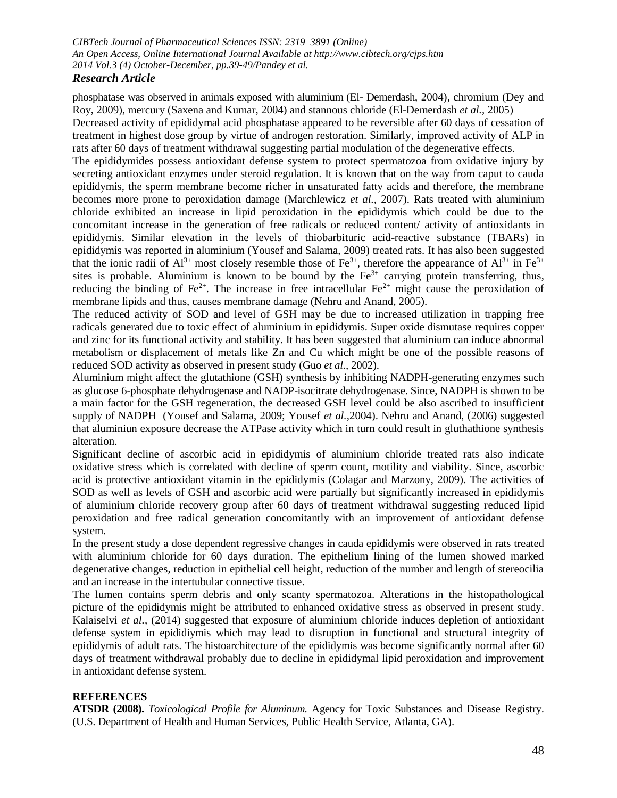## *Research Article*

phosphatase was observed in animals exposed with aluminium (El- Demerdash, 2004), chromium (Dey and Roy, 2009), mercury (Saxena and Kumar, 2004) and stannous chloride (El-Demerdash *et al.,* 2005)

Decreased activity of epididymal acid phosphatase appeared to be reversible after 60 days of cessation of treatment in highest dose group by virtue of androgen restoration. Similarly, improved activity of ALP in rats after 60 days of treatment withdrawal suggesting partial modulation of the degenerative effects.

The epididymides possess antioxidant defense system to protect spermatozoa from oxidative injury by secreting antioxidant enzymes under steroid regulation. It is known that on the way from caput to cauda epididymis, the sperm membrane become richer in unsaturated fatty acids and therefore, the membrane becomes more prone to peroxidation damage (Marchlewicz *et al.,* 2007). Rats treated with aluminium chloride exhibited an increase in lipid peroxidation in the epididymis which could be due to the concomitant increase in the generation of free radicals or reduced content/ activity of antioxidants in epididymis. Similar elevation in the levels of thiobarbituric acid-reactive substance (TBARs) in epididymis was reported in aluminium (Yousef and Salama, 2009) treated rats. It has also been suggested that the ionic radii of  $Al^{3+}$  most closely resemble those of Fe<sup>3+</sup>, therefore the appearance of  $Al^{3+}$  in Fe<sup>3+</sup> sites is probable. Aluminium is known to be bound by the  $Fe<sup>3+</sup>$  carrying protein transferring, thus, reducing the binding of  $Fe^{2+}$ . The increase in free intracellular  $Fe^{2+}$  might cause the peroxidation of membrane lipids and thus, causes membrane damage (Nehru and Anand, 2005).

The reduced activity of SOD and level of GSH may be due to increased utilization in trapping free radicals generated due to toxic effect of aluminium in epididymis. Super oxide dismutase requires copper and zinc for its functional activity and stability. It has been suggested that aluminium can induce abnormal metabolism or displacement of metals like Zn and Cu which might be one of the possible reasons of reduced SOD activity as observed in present study (Guo *et al.,* 2002).

Aluminium might affect the glutathione (GSH) synthesis by inhibiting NADPH-generating enzymes such as glucose 6-phosphate dehydrogenase and NADP-isocitrate dehydrogenase. Since, NADPH is shown to be a main factor for the GSH regeneration, the decreased GSH level could be also ascribed to insufficient supply of NADPH (Yousef and Salama, 2009; Yousef *et al.,*2004). Nehru and Anand, (2006) suggested that aluminiun exposure decrease the ATPase activity which in turn could result in gluthathione synthesis alteration.

Significant decline of ascorbic acid in epididymis of aluminium chloride treated rats also indicate oxidative stress which is correlated with decline of sperm count, motility and viability. Since, ascorbic acid is protective antioxidant vitamin in the epididymis (Colagar and Marzony, 2009). The activities of SOD as well as levels of GSH and ascorbic acid were partially but significantly increased in epididymis of aluminium chloride recovery group after 60 days of treatment withdrawal suggesting reduced lipid peroxidation and free radical generation concomitantly with an improvement of antioxidant defense system.

In the present study a dose dependent regressive changes in cauda epididymis were observed in rats treated with aluminium chloride for 60 days duration. The epithelium lining of the lumen showed marked degenerative changes, reduction in epithelial cell height, reduction of the number and length of stereocilia and an increase in the intertubular connective tissue.

The lumen contains sperm debris and only scanty spermatozoa. Alterations in the histopathological picture of the epididymis might be attributed to enhanced oxidative stress as observed in present study. Kalaiselvi *et al.,* (2014) suggested that exposure of aluminium chloride induces depletion of antioxidant defense system in epididiymis which may lead to disruption in functional and structural integrity of epididymis of adult rats. The histoarchitecture of the epididymis was become significantly normal after 60 days of treatment withdrawal probably due to decline in epididymal lipid peroxidation and improvement in antioxidant defense system.

### **REFERENCES**

**ATSDR (2008).** *Toxicological Profile for Aluminum.* Agency for Toxic Substances and Disease Registry. (U.S. Department of Health and Human Services, Public Health Service, Atlanta, GA).